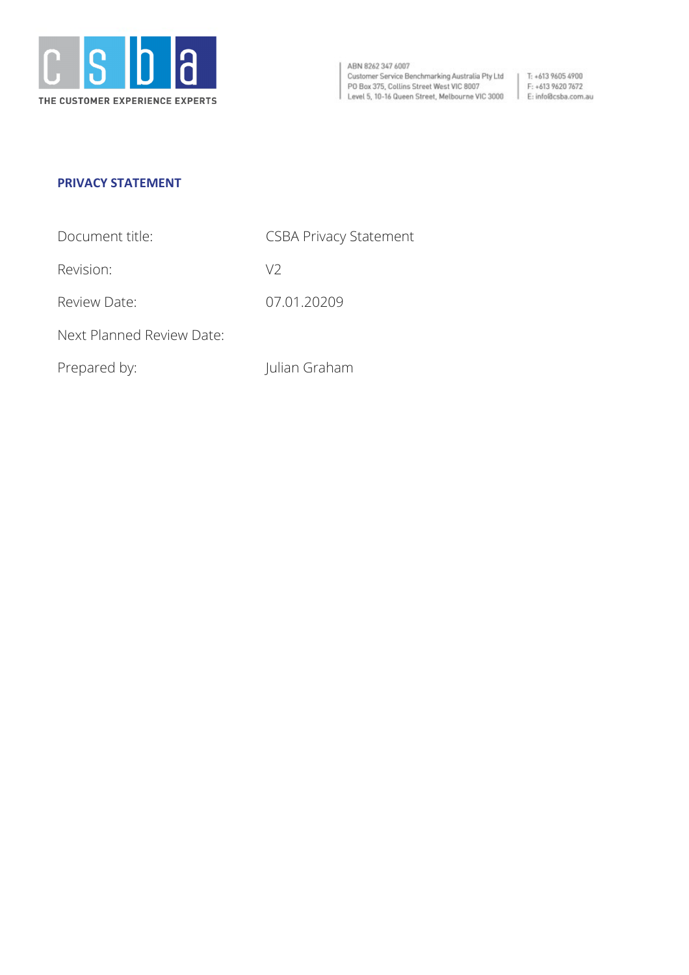

ABN 8262 347 6007 Customer Service Benchmarking Australia Pty Ltd<br>PO Box 375, Collins Street West VIC 8007 PO Box 375, Collins Street West VIC 8007<br>
Level 5, 10-16 Queen Street, Melbourne VIC 3000<br>
E: info@csba.com.au

 $\vert$  T: +613 9605 4900

# **PRIVACY STATEMENT**

| Document title: | <b>CSBA Privacy Statement</b> |
|-----------------|-------------------------------|
|                 |                               |

Revision: V2

Review Date: 07.01.20209

Next Planned Review Date:

Prepared by: Julian Graham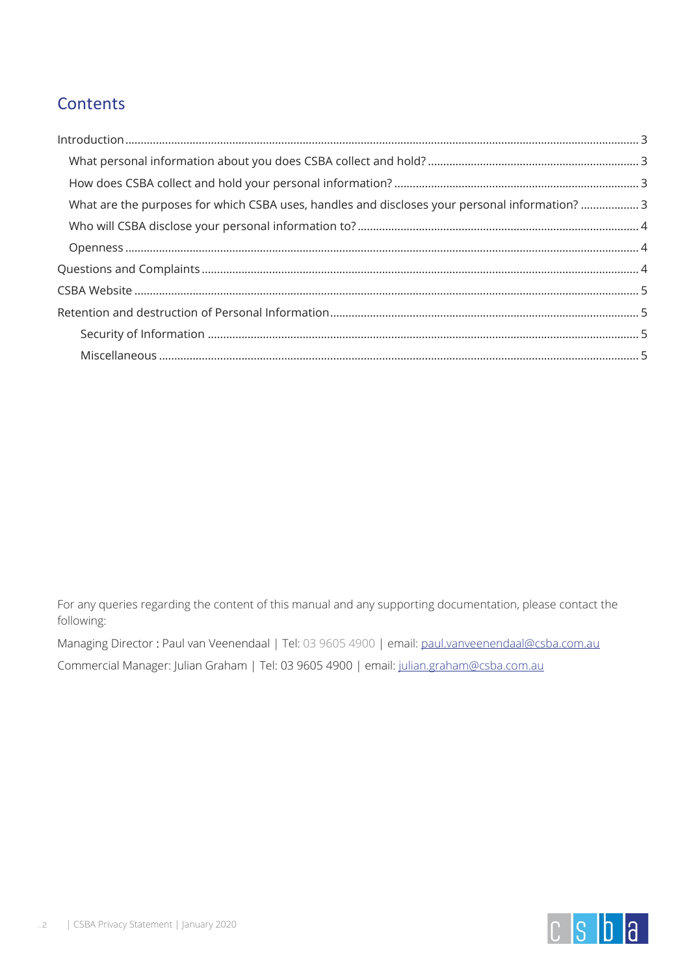# **Contents**

| What are the purposes for which CSBA uses, handles and discloses your personal information?3 |  |
|----------------------------------------------------------------------------------------------|--|
|                                                                                              |  |
|                                                                                              |  |
|                                                                                              |  |
|                                                                                              |  |
|                                                                                              |  |
|                                                                                              |  |
|                                                                                              |  |

For any queries regarding the content of this manual and any supporting documentation, please contact the following:

Managing Director : Paul van Veenendaal | Tel: 03 9605 4900 | email: [paul.vanveenendaal@csba.com.au](mailto:paul.vanveenendaal@csba.com.au)

Commercial Manager: Julian Graham | Tel: 03 9605 4900 | email: [julian.graham@csba.com.au](mailto:julian.graham@csba.com.au)

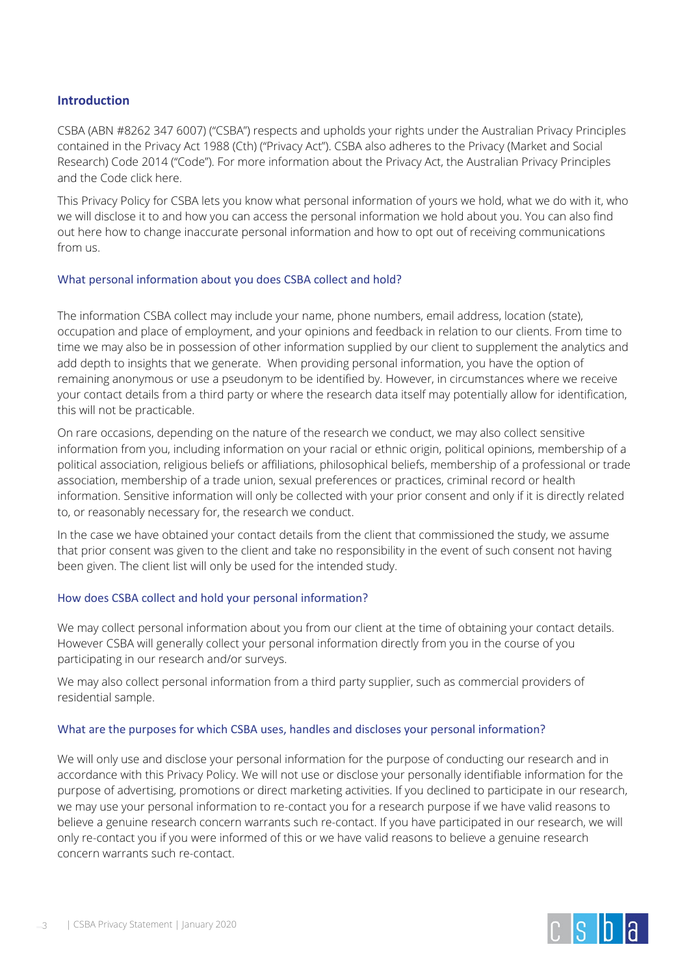## <span id="page-2-0"></span>**Introduction**

CSBA (ABN #8262 347 6007) ("CSBA") respects and upholds your rights under the Australian Privacy Principles contained in the Privacy Act 1988 (Cth) ("Privacy Act"). CSBA also adheres to the Privacy (Market and Social Research) Code 2014 ("Code"). For more information about the Privacy Act, the Australian Privacy Principles and the Code click here.

This Privacy Policy for CSBA lets you know what personal information of yours we hold, what we do with it, who we will disclose it to and how you can access the personal information we hold about you. You can also find out here how to change inaccurate personal information and how to opt out of receiving communications from us.

#### <span id="page-2-1"></span>What personal information about you does CSBA collect and hold?

The information CSBA collect may include your name, phone numbers, email address, location (state), occupation and place of employment, and your opinions and feedback in relation to our clients. From time to time we may also be in possession of other information supplied by our client to supplement the analytics and add depth to insights that we generate. When providing personal information, you have the option of remaining anonymous or use a pseudonym to be identified by. However, in circumstances where we receive your contact details from a third party or where the research data itself may potentially allow for identification, this will not be practicable.

On rare occasions, depending on the nature of the research we conduct, we may also collect sensitive information from you, including information on your racial or ethnic origin, political opinions, membership of a political association, religious beliefs or affiliations, philosophical beliefs, membership of a professional or trade association, membership of a trade union, sexual preferences or practices, criminal record or health information. Sensitive information will only be collected with your prior consent and only if it is directly related to, or reasonably necessary for, the research we conduct.

In the case we have obtained your contact details from the client that commissioned the study, we assume that prior consent was given to the client and take no responsibility in the event of such consent not having been given. The client list will only be used for the intended study.

#### <span id="page-2-2"></span>How does CSBA collect and hold your personal information?

We may collect personal information about you from our client at the time of obtaining your contact details. However CSBA will generally collect your personal information directly from you in the course of you participating in our research and/or surveys.

We may also collect personal information from a third party supplier, such as commercial providers of residential sample.

#### <span id="page-2-3"></span>What are the purposes for which CSBA uses, handles and discloses your personal information?

We will only use and disclose your personal information for the purpose of conducting our research and in accordance with this Privacy Policy. We will not use or disclose your personally identifiable information for the purpose of advertising, promotions or direct marketing activities. If you declined to participate in our research, we may use your personal information to re-contact you for a research purpose if we have valid reasons to believe a genuine research concern warrants such re-contact. If you have participated in our research, we will only re-contact you if you were informed of this or we have valid reasons to believe a genuine research concern warrants such re-contact.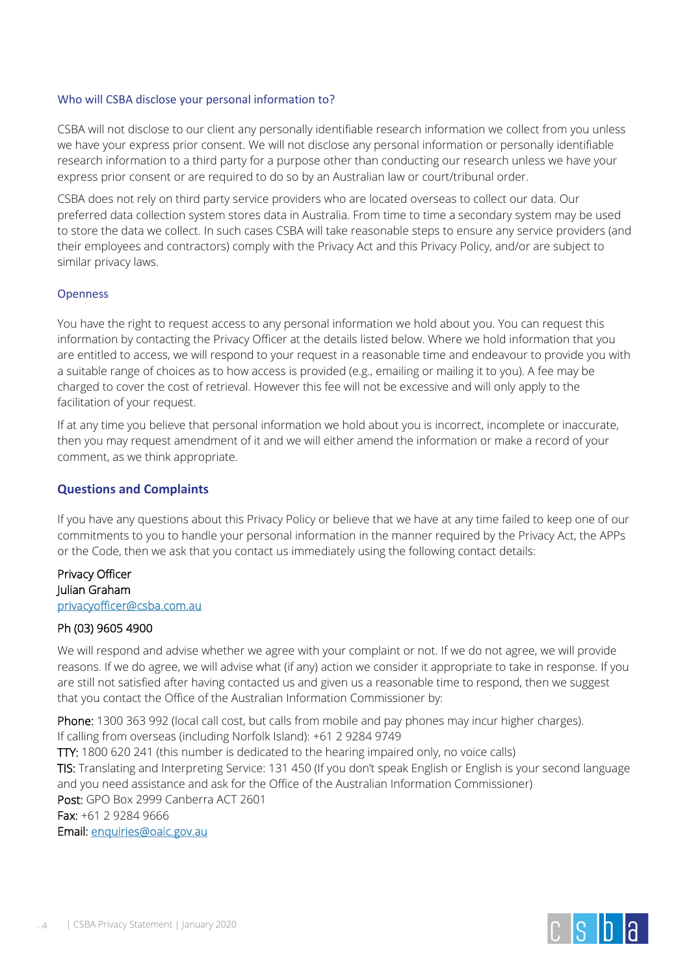#### <span id="page-3-0"></span>Who will CSBA disclose your personal information to?

CSBA will not disclose to our client any personally identifiable research information we collect from you unless we have your express prior consent. We will not disclose any personal information or personally identifiable research information to a third party for a purpose other than conducting our research unless we have your express prior consent or are required to do so by an Australian law or court/tribunal order.

CSBA does not rely on third party service providers who are located overseas to collect our data. Our preferred data collection system stores data in Australia. From time to time a secondary system may be used to store the data we collect. In such cases CSBA will take reasonable steps to ensure any service providers (and their employees and contractors) comply with the Privacy Act and this Privacy Policy, and/or are subject to similar privacy laws.

#### <span id="page-3-1"></span>Openness

You have the right to request access to any personal information we hold about you. You can request this information by contacting the Privacy Officer at the details listed below. Where we hold information that you are entitled to access, we will respond to your request in a reasonable time and endeavour to provide you with a suitable range of choices as to how access is provided (e.g., emailing or mailing it to you). A fee may be charged to cover the cost of retrieval. However this fee will not be excessive and will only apply to the facilitation of your request.

If at any time you believe that personal information we hold about you is incorrect, incomplete or inaccurate, then you may request amendment of it and we will either amend the information or make a record of your comment, as we think appropriate.

#### <span id="page-3-2"></span>**Questions and Complaints**

If you have any questions about this Privacy Policy or believe that we have at any time failed to keep one of our commitments to you to handle your personal information in the manner required by the Privacy Act, the APPs or the Code, then we ask that you contact us immediately using the following contact details:

# Privacy Officer Julian Graham [privacyofficer@csba.com.au](mailto:privacyofficer@csba.com.au)

## Ph (03) 9605 4900

We will respond and advise whether we agree with your complaint or not. If we do not agree, we will provide reasons. If we do agree, we will advise what (if any) action we consider it appropriate to take in response. If you are still not satisfied after having contacted us and given us a reasonable time to respond, then we suggest that you contact the Office of the Australian Information Commissioner by:

Phone: 1300 363 992 (local call cost, but calls from mobile and pay phones may incur higher charges). If calling from overseas (including Norfolk Island): +61 2 9284 9749

TTY: 1800 620 241 (this number is dedicated to the hearing impaired only, no voice calls) TIS: Translating and Interpreting Service: 131 450 (If you don't speak English or English is your second language and you need assistance and ask for the Office of the Australian Information Commissioner) Post: GPO Box 2999 Canberra ACT 2601 Fax: +61 2 9284 9666 Email: [enquiries@oaic.gov.au](mailto:enquiries@oaic.gov.au)